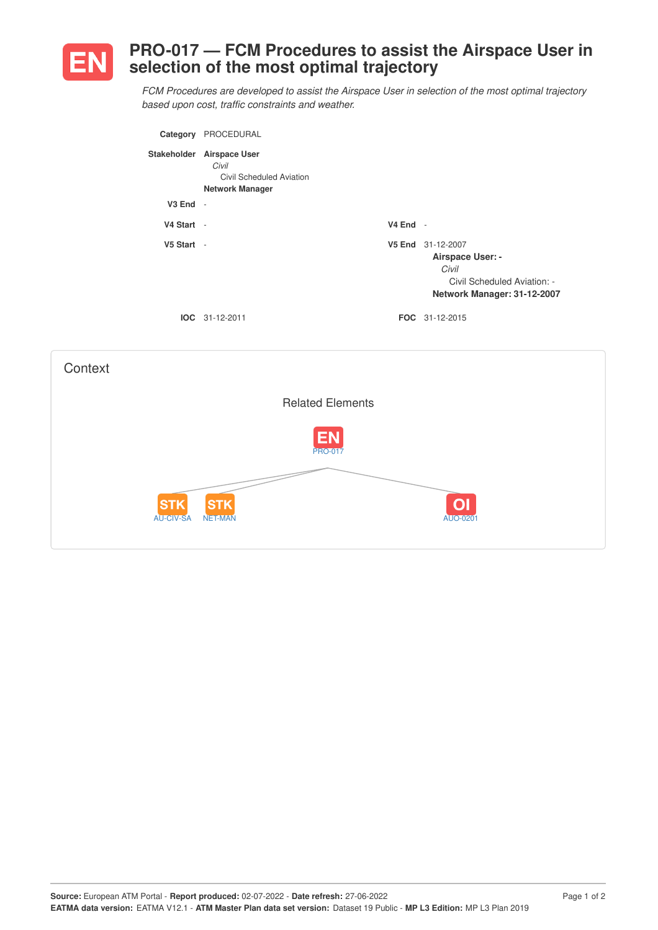

## **PRO-017 — FCM Procedures to assist the Airspace User in selection of the most optimal trajectory**

*FCM Procedures are developed to assist the Airspace User in selection of the most optimal trajectory based upon cost, traffic constraints and weather.*

| Category     | PROCEDURAL                                                                               |            |                                                                                                              |
|--------------|------------------------------------------------------------------------------------------|------------|--------------------------------------------------------------------------------------------------------------|
|              | Stakeholder Airspace User<br>Civil<br>Civil Scheduled Aviation<br><b>Network Manager</b> |            |                                                                                                              |
| $V3$ End $-$ |                                                                                          |            |                                                                                                              |
| V4 Start -   |                                                                                          | $V4$ End - |                                                                                                              |
| V5 Start -   |                                                                                          |            | V5 End 31-12-2007<br>Airspace User: -<br>Civil<br>Civil Scheduled Aviation: -<br>Network Manager: 31-12-2007 |
|              | $IOC 31-12-2011$                                                                         |            | <b>FOC</b> 31-12-2015                                                                                        |